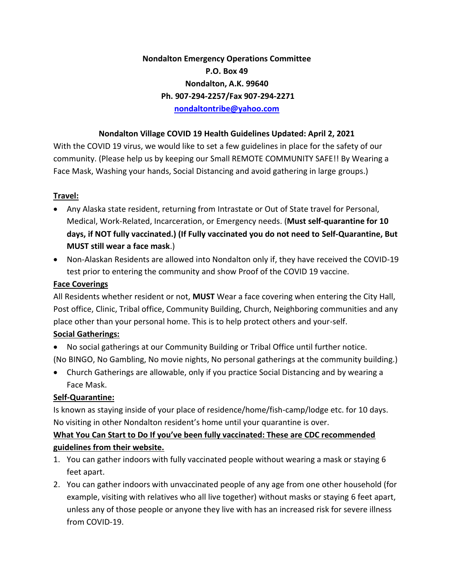**Nondalton Emergency Operations Committee P.O. Box 49 Nondalton, A.K. 99640 Ph. 907-294-2257/Fax 907-294-2271 [nondaltontribe@yahoo.com](mailto:nondaltontribe@yahoo.com)**

### **Nondalton Village COVID 19 Health Guidelines Updated: April 2, 2021**

With the COVID 19 virus, we would like to set a few guidelines in place for the safety of our community. (Please help us by keeping our Small REMOTE COMMUNITY SAFE!! By Wearing a Face Mask, Washing your hands, Social Distancing and avoid gathering in large groups.)

#### **Travel:**

- Any Alaska state resident, returning from Intrastate or Out of State travel for Personal, Medical, Work-Related, Incarceration, or Emergency needs. (**Must self-quarantine for 10 days, if NOT fully vaccinated.) (If Fully vaccinated you do not need to Self-Quarantine, But MUST still wear a face mask**.)
- Non-Alaskan Residents are allowed into Nondalton only if, they have received the COVID-19 test prior to entering the community and show Proof of the COVID 19 vaccine.

#### **Face Coverings**

All Residents whether resident or not, **MUST** Wear a face covering when entering the City Hall, Post office, Clinic, Tribal office, Community Building, Church, Neighboring communities and any place other than your personal home. This is to help protect others and your-self.

### **Social Gatherings:**

• No social gatherings at our Community Building or Tribal Office until further notice.

(No BINGO, No Gambling, No movie nights, No personal gatherings at the community building.)

• Church Gatherings are allowable, only if you practice Social Distancing and by wearing a Face Mask.

### **Self-Quarantine:**

Is known as staying inside of your place of residence/home/fish-camp/lodge etc. for 10 days. No visiting in other Nondalton resident's home until your quarantine is over.

## **What You Can Start to Do If you've been fully vaccinated: These are CDC recommended guidelines from their website.**

- 1. You can gather indoors with fully vaccinated people without wearing a mask or staying 6 feet apart.
- 2. You can gather indoors with unvaccinated people of any age from one other household (for example, visiting with relatives who all live together) without masks or staying 6 feet apart, unless any of those people or anyone they live with has an increased risk for severe illness from COVID-19.